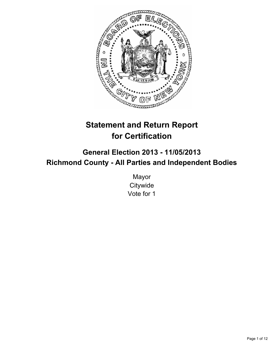

# **Statement and Return Report for Certification**

# **General Election 2013 - 11/05/2013 Richmond County - All Parties and Independent Bodies**

Mayor **Citywide** Vote for 1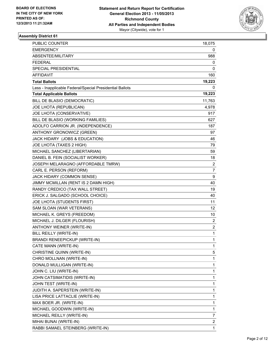

| <b>PUBLIC COUNTER</b>                                    | 18,075                  |
|----------------------------------------------------------|-------------------------|
| <b>EMERGENCY</b>                                         | 0                       |
| ABSENTEE/MILITARY                                        | 988                     |
| <b>FEDERAL</b>                                           | 0                       |
| SPECIAL PRESIDENTIAL                                     | 0                       |
| <b>AFFIDAVIT</b>                                         | 160                     |
| <b>Total Ballots</b>                                     | 19,223                  |
| Less - Inapplicable Federal/Special Presidential Ballots | 0                       |
| <b>Total Applicable Ballots</b>                          | 19,223                  |
| BILL DE BLASIO (DEMOCRATIC)                              | 11,763                  |
| JOE LHOTA (REPUBLICAN)                                   | 4,978                   |
| JOE LHOTA (CONSERVATIVE)                                 | 917                     |
| BILL DE BLASIO (WORKING FAMILIES)                        | 627                     |
| ADOLFO CARRION JR. (INDEPENDENCE)                        | 187                     |
| ANTHONY GRONOWICZ (GREEN)                                | 97                      |
| JACK HIDARY (JOBS & EDUCATION)                           | 46                      |
| JOE LHOTA (TAXES 2 HIGH)                                 | 79                      |
| MICHAEL SANCHEZ (LIBERTARIAN)                            | 59                      |
| DANIEL B. FEIN (SOCIALIST WORKER)                        | 18                      |
| JOSEPH MELARAGNO (AFFORDABLE TMRW)                       | $\overline{2}$          |
| CARL E. PERSON (REFORM)                                  | 7                       |
| JACK HIDARY (COMMON SENSE)                               | 9                       |
| JIMMY MCMILLAN (RENT IS 2 DAMN HIGH)                     | 40                      |
| RANDY CREDICO (TAX WALL STREET)                          | 19                      |
| ERICK J. SALGADO (SCHOOL CHOICE)                         | 40                      |
| JOE LHOTA (STUDENTS FIRST)                               | 11                      |
| SAM SLOAN (WAR VETERANS)                                 | 12                      |
| MICHAEL K. GREYS (FREEDOM)                               | 10                      |
| MICHAEL J. DILGER (FLOURISH)                             | $\overline{2}$          |
| ANTHONY WEINER (WRITE-IN)                                | $\overline{\mathbf{c}}$ |
| BILL REILLY (WRITE-IN)                                   | 1                       |
| <b>BRANDI RENEEPICKUP (WRITE-IN)</b>                     | 1                       |
| CATE MANN (WRITE-IN)                                     | 1                       |
| CHRISTINE QUINN (WRITE-IN)                               | 5                       |
| CHRO MOLLNAN (WRITE-IN)                                  | 1                       |
| DONALD MULLIGAN (WRITE-IN)                               | 1                       |
| JOHN C. LIU (WRITE-IN)                                   | 1                       |
| JOHN CATSIMATIDIS (WRITE-IN)                             | 1                       |
| JOHN TEST (WRITE-IN)                                     | 1                       |
| JUDITH A. SAPERSTEIN (WRITE-IN)                          | 1                       |
| LISA PRICE LATTACLIE (WRITE-IN)                          | 1                       |
| MAX BOER JR. (WRITE-IN)                                  | 1                       |
| MICHAEL GOODWIN (WRITE-IN)                               | 1                       |
| MICHAEL REILLY (WRITE-IN)                                | 7                       |
| MIHAI BUNAI (WRITE-IN)                                   | 2                       |
| RABBI SAMAEL STEINBERG (WRITE-IN)                        | 1                       |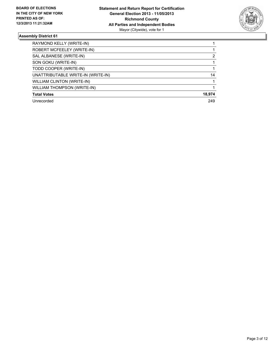

| RAYMOND KELLY (WRITE-IN)           |        |
|------------------------------------|--------|
| ROBERT MCFEELEY (WRITE-IN)         |        |
| SAL ALBANESE (WRITE-IN)            | 2      |
| SON GOKU (WRITE-IN)                |        |
| TODD COOPER (WRITE-IN)             |        |
| UNATTRIBUTABLE WRITE-IN (WRITE-IN) | 14     |
| <b>WILLIAM CLINTON (WRITE-IN)</b>  |        |
| <b>WILLIAM THOMPSON (WRITE-IN)</b> |        |
| <b>Total Votes</b>                 | 18,974 |
| Unrecorded                         | 249    |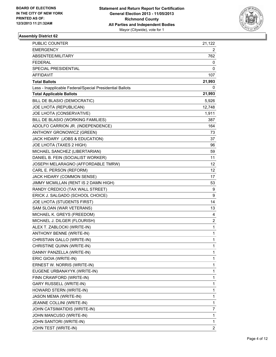

| PUBLIC COUNTER                                           | 21,122 |
|----------------------------------------------------------|--------|
| <b>EMERGENCY</b>                                         | 2      |
| ABSENTEE/MILITARY                                        | 762    |
| <b>FEDERAL</b>                                           | 0      |
| SPECIAL PRESIDENTIAL                                     | 0      |
| AFFIDAVIT                                                | 107    |
| <b>Total Ballots</b>                                     | 21,993 |
| Less - Inapplicable Federal/Special Presidential Ballots | 0      |
| <b>Total Applicable Ballots</b>                          | 21,993 |
| BILL DE BLASIO (DEMOCRATIC)                              | 5,926  |
| JOE LHOTA (REPUBLICAN)                                   | 12,748 |
| JOE LHOTA (CONSERVATIVE)                                 | 1,911  |
| BILL DE BLASIO (WORKING FAMILIES)                        | 387    |
| ADOLFO CARRION JR. (INDEPENDENCE)                        | 164    |
| ANTHONY GRONOWICZ (GREEN)                                | 73     |
| JACK HIDARY (JOBS & EDUCATION)                           | 37     |
| JOE LHOTA (TAXES 2 HIGH)                                 | 96     |
| MICHAEL SANCHEZ (LIBERTARIAN)                            | 59     |
| DANIEL B. FEIN (SOCIALIST WORKER)                        | 11     |
| JOSEPH MELARAGNO (AFFORDABLE TMRW)                       | 12     |
| CARL E. PERSON (REFORM)                                  | 12     |
| JACK HIDARY (COMMON SENSE)                               | 17     |
| JIMMY MCMILLAN (RENT IS 2 DAMN HIGH)                     | 53     |
| RANDY CREDICO (TAX WALL STREET)                          | 9      |
| ERICK J. SALGADO (SCHOOL CHOICE)                         | 9      |
| JOE LHOTA (STUDENTS FIRST)                               | 14     |
| SAM SLOAN (WAR VETERANS)                                 | 13     |
| MICHAEL K. GREYS (FREEDOM)                               | 4      |
| MICHAEL J. DILGER (FLOURISH)                             | 2      |
| ALEX T. ZABLOCKI (WRITE-IN)                              | 1      |
| ANTHONY BENNE (WRITE-IN)                                 | 1      |
| CHRISTIAN GALLO (WRITE-IN)                               | 1      |
| CHRISTINE QUINN (WRITE-IN)                               | 1      |
| DANNY PANZELLA (WRITE-IN)                                | 1      |
| ERIC GIOIA (WRITE-IN)                                    | 1      |
| ERNEST W. NORRIS (WRITE-IN)                              | 1      |
| EUGENE URBANAYYK (WRITE-IN)                              | 1      |
| FINN CRAWFORD (WRITE-IN)                                 | 1      |
| GARY RUSSELL (WRITE-IN)                                  | 1      |
| HOWARD STERN (WRITE-IN)                                  | 1      |
| JASON MEMA (WRITE-IN)                                    | 1      |
| JEANNE COLLINI (WRITE-IN)                                | 1      |
| JOHN CATSIMATIDIS (WRITE-IN)                             | 7      |
| JOHN MANCUSO (WRITE-IN)                                  | 1      |
| JOHN SANTORI (WRITE-IN)                                  | 1      |
| JOHN TEST (WRITE-IN)                                     | 2      |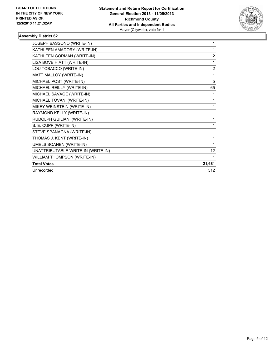

| JOSEPH BASSONO (WRITE-IN)          | 1              |
|------------------------------------|----------------|
| KATHLEEN AMADORY (WRITE-IN)        | 1              |
| KATHLEEN GORMAN (WRITE-IN)         | $\overline{2}$ |
| LISA BOVE HIATT (WRITE-IN)         | 1              |
| LOU TOBACCO (WRITE-IN)             | $\overline{2}$ |
| MATT MALLOY (WRITE-IN)             | 1              |
| MICHAEL POST (WRITE-IN)            | 5              |
| MICHAEL REILLY (WRITE-IN)          | 65             |
| MICHAEL SAVAGE (WRITE-IN)          | 1              |
| MICHAEL TOVANI (WRITE-IN)          | 1              |
| MIKEY WEINSTEIN (WRITE-IN)         | 1              |
| RAYMOND KELLY (WRITE-IN)           | 1              |
| RUDOLPH GUILIANI (WRITE-IN)        |                |
| S. E. CUPP (WRITE-IN)              | 1              |
| STEVE SPANAGNA (WRITE-IN)          | 1              |
| THOMAS J. KENT (WRITE-IN)          | 1              |
| <b>UMELS SOANEN (WRITE-IN)</b>     | 1              |
| UNATTRIBUTABLE WRITE-IN (WRITE-IN) | 12             |
| WILLIAM THOMPSON (WRITE-IN)        | 1              |
| <b>Total Votes</b>                 | 21,681         |
| Unrecorded                         | 312            |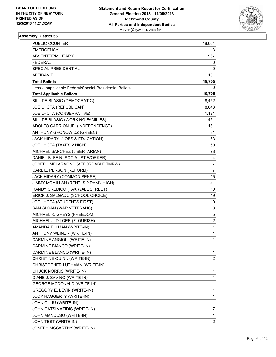

| PUBLIC COUNTER                                           | 18,664         |
|----------------------------------------------------------|----------------|
| <b>EMERGENCY</b>                                         | 3              |
| ABSENTEE/MILITARY                                        | 937            |
| FEDERAL                                                  | 0              |
| SPECIAL PRESIDENTIAL                                     | 0              |
| AFFIDAVIT                                                | 101            |
| <b>Total Ballots</b>                                     | 19,705         |
| Less - Inapplicable Federal/Special Presidential Ballots | 0              |
| <b>Total Applicable Ballots</b>                          | 19,705         |
| BILL DE BLASIO (DEMOCRATIC)                              | 8,452          |
| JOE LHOTA (REPUBLICAN)                                   | 8,643          |
| JOE LHOTA (CONSERVATIVE)                                 | 1,191          |
| BILL DE BLASIO (WORKING FAMILIES)                        | 451            |
| ADOLFO CARRION JR. (INDEPENDENCE)                        | 181            |
| ANTHONY GRONOWICZ (GREEN)                                | 81             |
| JACK HIDARY (JOBS & EDUCATION)                           | 63             |
| JOE LHOTA (TAXES 2 HIGH)                                 | 60             |
| MICHAEL SANCHEZ (LIBERTARIAN)                            | 78             |
| DANIEL B. FEIN (SOCIALIST WORKER)                        | 4              |
| JOSEPH MELARAGNO (AFFORDABLE TMRW)                       | 7              |
| CARL E. PERSON (REFORM)                                  | $\overline{7}$ |
| JACK HIDARY (COMMON SENSE)                               | 15             |
| JIMMY MCMILLAN (RENT IS 2 DAMN HIGH)                     | 41             |
| RANDY CREDICO (TAX WALL STREET)                          | 10             |
| ERICK J. SALGADO (SCHOOL CHOICE)                         | 19             |
| JOE LHOTA (STUDENTS FIRST)                               | 19             |
| SAM SLOAN (WAR VETERANS)                                 | 8              |
| MICHAEL K. GREYS (FREEDOM)                               | 5              |
| MICHAEL J. DILGER (FLOURISH)                             | 2              |
| AMANDA ELLMAN (WRITE-IN)                                 | 1              |
| ANTHONY WEINER (WRITE-IN)                                | 1              |
| CARMINE ANGIOLI (WRITE-IN)                               | 1              |
| CARMINE BIANCO (WRITE-IN)                                | 1              |
| CARMINE BLANCO (WRITE-IN)                                | 1              |
| CHRISTINE QUINN (WRITE-IN)                               | 2              |
| CHRISTOPHER LUTHMAN (WRITE-IN)                           | 1              |
| CHUCK NORRIS (WRITE-IN)                                  | 1              |
| DIANE J. SAVINO (WRITE-IN)                               | 1              |
| <b>GEORGE MCDONALD (WRITE-IN)</b>                        | 1              |
| GREGORY E. LEVIN (WRITE-IN)                              | 1              |
| JODY HAGGERTY (WRITE-IN)                                 | 1              |
| JOHN C. LIU (WRITE-IN)                                   | 1              |
| JOHN CATSIMATIDIS (WRITE-IN)                             | 7              |
| JOHN MANCUSO (WRITE-IN)                                  | 1              |
| JOHN TEST (WRITE-IN)                                     | 2              |
| JOSEPH MCCARTHY (WRITE-IN)                               | 1              |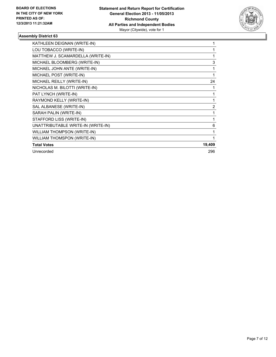

| KATHLEEN DEIGNAN (WRITE-IN)        |                |
|------------------------------------|----------------|
| LOU TOBACCO (WRITE-IN)             |                |
| MATTHEW J. SCAMARDELLA (WRITE-IN)  |                |
| MICHAEL BLOOMBERG (WRITE-IN)       | 3              |
| MICHAEL JOHN ANTE (WRITE-IN)       | 1              |
| MICHAEL POST (WRITE-IN)            |                |
| MICHAEL REILLY (WRITE-IN)          | 24             |
| NICHOLAS M. BILOTTI (WRITE-IN)     |                |
| PAT LYNCH (WRITE-IN)               | 1              |
| RAYMOND KELLY (WRITE-IN)           | 1              |
| SAL ALBANESE (WRITE-IN)            | $\overline{2}$ |
| SARAH PALIN (WRITE-IN)             |                |
| STAFFORD LISS (WRITE-IN)           |                |
| UNATTRIBUTABLE WRITE-IN (WRITE-IN) | 6              |
| WILLIAM THOMPSON (WRITE-IN)        |                |
| <b>WILLIAM THOMSPON (WRITE-IN)</b> |                |
| <b>Total Votes</b>                 | 19,409         |
| Unrecorded                         | 296            |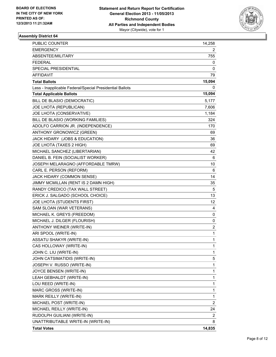

| PUBLIC COUNTER                                           | 14,258                  |
|----------------------------------------------------------|-------------------------|
| <b>EMERGENCY</b>                                         | 2                       |
| ABSENTEE/MILITARY                                        | 755                     |
| <b>FEDERAL</b>                                           | 0                       |
| SPECIAL PRESIDENTIAL                                     | 0                       |
| <b>AFFIDAVIT</b>                                         | 79                      |
| <b>Total Ballots</b>                                     | 15,094                  |
| Less - Inapplicable Federal/Special Presidential Ballots | 0                       |
| <b>Total Applicable Ballots</b>                          | 15,094                  |
| BILL DE BLASIO (DEMOCRATIC)                              | 5,177                   |
| JOE LHOTA (REPUBLICAN)                                   | 7,606                   |
| JOE LHOTA (CONSERVATIVE)                                 | 1,184                   |
| BILL DE BLASIO (WORKING FAMILIES)                        | 324                     |
| ADOLFO CARRION JR. (INDEPENDENCE)                        | 170                     |
| ANTHONY GRONOWICZ (GREEN)                                | 69                      |
| JACK HIDARY (JOBS & EDUCATION)                           | 36                      |
| JOE LHOTA (TAXES 2 HIGH)                                 | 69                      |
| MICHAEL SANCHEZ (LIBERTARIAN)                            | 42                      |
| DANIEL B. FEIN (SOCIALIST WORKER)                        | 6                       |
| JOSEPH MELARAGNO (AFFORDABLE TMRW)                       | 10                      |
| CARL E. PERSON (REFORM)                                  | 6                       |
| JACK HIDARY (COMMON SENSE)                               | 14                      |
| JIMMY MCMILLAN (RENT IS 2 DAMN HIGH)                     | 35                      |
| RANDY CREDICO (TAX WALL STREET)                          | 5                       |
| ERICK J. SALGADO (SCHOOL CHOICE)                         | 13                      |
| JOE LHOTA (STUDENTS FIRST)                               | 12.                     |
| SAM SLOAN (WAR VETERANS)                                 | 4                       |
| MICHAEL K. GREYS (FREEDOM)                               | 0                       |
| MICHAEL J. DILGER (FLOURISH)                             | 0                       |
| ANTHONY WEINER (WRITE-IN)                                | 2                       |
| ARI SPOOL (WRITE-IN)                                     | 1                       |
| <b>ASSATU SHAKYR (WRITE-IN)</b>                          | 1                       |
| CAS HOLLOWAY (WRITE-IN)                                  | 1                       |
| JOHN C. LIU (WRITE-IN)                                   | 1                       |
| JOHN CATSIMATIDIS (WRITE-IN)                             | 5                       |
| JOSEPH V. RUSSO (WRITE-IN)                               | 1                       |
| JOYCE BENSEN (WRITE-IN)                                  | 1                       |
| LEAH GEBHALDT (WRITE-IN)                                 | 1                       |
| LOU REED (WRITE-IN)                                      | 1                       |
| MARC GROSS (WRITE-IN)                                    | 1                       |
| MARK REILLY (WRITE-IN)                                   | 1                       |
| MICHAEL POST (WRITE-IN)                                  | $\overline{\mathbf{c}}$ |
| MICHAEL REILLY (WRITE-IN)                                | 24                      |
| RUDOLPH GUILIANI (WRITE-IN)                              | $\overline{2}$          |
| UNATTRIBUTABLE WRITE-IN (WRITE-IN)                       | 8                       |
| <b>Total Votes</b>                                       | 14,835                  |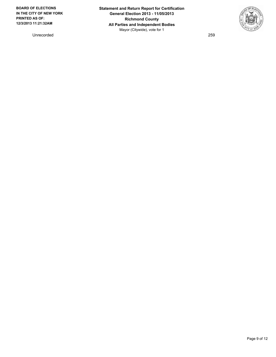**BOARD OF ELECTIONS IN THE CITY OF NEW YORK PRINTED AS OF: 12/3/2013 11:21:32AM**

Unrecorded 259

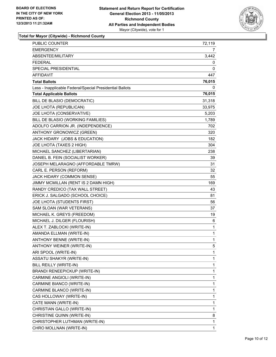

**Total for Mayor (Citywide) - Richmond County**

| <b>PUBLIC COUNTER</b>                                    | 72,119       |
|----------------------------------------------------------|--------------|
| <b>EMERGENCY</b>                                         | 7            |
| ABSENTEE/MILITARY                                        | 3,442        |
| <b>FEDERAL</b>                                           | 0            |
| SPECIAL PRESIDENTIAL                                     | 0            |
| AFFIDAVIT                                                | 447          |
| <b>Total Ballots</b>                                     | 76,015       |
| Less - Inapplicable Federal/Special Presidential Ballots | 0            |
| <b>Total Applicable Ballots</b>                          | 76,015       |
| BILL DE BLASIO (DEMOCRATIC)                              | 31,318       |
| JOE LHOTA (REPUBLICAN)                                   | 33,975       |
| JOE LHOTA (CONSERVATIVE)                                 | 5,203        |
| BILL DE BLASIO (WORKING FAMILIES)                        | 1,789        |
| ADOLFO CARRION JR. (INDEPENDENCE)                        | 702          |
| ANTHONY GRONOWICZ (GREEN)                                | 320          |
| JACK HIDARY (JOBS & EDUCATION)                           | 182          |
| JOE LHOTA (TAXES 2 HIGH)                                 | 304          |
| MICHAEL SANCHEZ (LIBERTARIAN)                            | 238          |
| DANIEL B. FEIN (SOCIALIST WORKER)                        | 39           |
| JOSEPH MELARAGNO (AFFORDABLE TMRW)                       | 31           |
| CARL E. PERSON (REFORM)                                  | 32           |
| JACK HIDARY (COMMON SENSE)                               | 55           |
| JIMMY MCMILLAN (RENT IS 2 DAMN HIGH)                     | 169          |
| RANDY CREDICO (TAX WALL STREET)                          | 43           |
| ERICK J. SALGADO (SCHOOL CHOICE)                         | 81           |
| JOE LHOTA (STUDENTS FIRST)                               | 56           |
| SAM SLOAN (WAR VETERANS)                                 | 37           |
| MICHAEL K. GREYS (FREEDOM)                               | 19           |
| MICHAEL J. DILGER (FLOURISH)                             | 6            |
| ALEX T. ZABLOCKI (WRITE-IN)                              | 1            |
| AMANDA ELLMAN (WRITE-IN)                                 | 1            |
| ANTHONY BENNE (WRITE-IN)                                 | $\mathbf{1}$ |
| ANTHONY WEINER (WRITE-IN)                                | 5            |
| ARI SPOOL (WRITE-IN)                                     | 1            |
| ASSATU SHAKYR (WRITE-IN)                                 | 1            |
| BILL REILLY (WRITE-IN)                                   | 1            |
| BRANDI RENEEPICKUP (WRITE-IN)                            | 1            |
| CARMINE ANGIOLI (WRITE-IN)                               | 1            |
| CARMINE BIANCO (WRITE-IN)                                | 1            |
| CARMINE BLANCO (WRITE-IN)                                | 1            |
| CAS HOLLOWAY (WRITE-IN)                                  | 1            |
| CATE MANN (WRITE-IN)                                     | 1            |
| CHRISTIAN GALLO (WRITE-IN)                               | 1            |
| CHRISTINE QUINN (WRITE-IN)                               | 8            |
| CHRISTOPHER LUTHMAN (WRITE-IN)                           | 1            |
| CHRO MOLLNAN (WRITE-IN)                                  | 1            |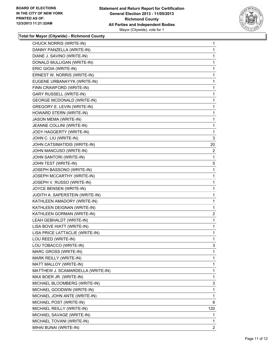

**Total for Mayor (Citywide) - Richmond County**

| CHUCK NORRIS (WRITE-IN)           | 1              |
|-----------------------------------|----------------|
| DANNY PANZELLA (WRITE-IN)         | 1              |
| DIANE J. SAVINO (WRITE-IN)        | 1              |
| DONALD MULLIGAN (WRITE-IN)        | 1              |
| ERIC GIOIA (WRITE-IN)             | 1              |
| ERNEST W. NORRIS (WRITE-IN)       | 1              |
| EUGENE URBANAYYK (WRITE-IN)       | 1              |
| FINN CRAWFORD (WRITE-IN)          | 1              |
| <b>GARY RUSSELL (WRITE-IN)</b>    | 1              |
| <b>GEORGE MCDONALD (WRITE-IN)</b> | 1              |
| GREGORY E. LEVIN (WRITE-IN)       | 1              |
| HOWARD STERN (WRITE-IN)           | 1              |
| JASON MEMA (WRITE-IN)             | 1              |
| JEANNE COLLINI (WRITE-IN)         | 1              |
| JODY HAGGERTY (WRITE-IN)          | 1              |
| JOHN C. LIU (WRITE-IN)            | 3              |
| JOHN CATSIMATIDIS (WRITE-IN)      | 20             |
| JOHN MANCUSO (WRITE-IN)           | 2              |
| JOHN SANTORI (WRITE-IN)           | 1              |
| JOHN TEST (WRITE-IN)              | 5              |
| JOSEPH BASSONO (WRITE-IN)         | 1              |
| JOSEPH MCCARTHY (WRITE-IN)        | 1              |
| JOSEPH V. RUSSO (WRITE-IN)        | 1              |
| JOYCE BENSEN (WRITE-IN)           | 1              |
| JUDITH A. SAPERSTEIN (WRITE-IN)   | 1              |
| KATHLEEN AMADORY (WRITE-IN)       | 1              |
| KATHLEEN DEIGNAN (WRITE-IN)       | 1              |
| KATHLEEN GORMAN (WRITE-IN)        | $\overline{2}$ |
| LEAH GEBHALDT (WRITE-IN)          | 1              |
| LISA BOVE HIATT (WRITE-IN)        | 1              |
| LISA PRICE LATTACLIE (WRITE-IN)   | 1              |
| LOU REED (WRITE-IN)               | 1              |
| LOU TOBACCO (WRITE-IN)            | 3              |
| MARC GROSS (WRITE-IN)             | 1              |
| MARK REILLY (WRITE-IN)            | 1              |
| MATT MALLOY (WRITE-IN)            | 1              |
| MATTHEW J. SCAMARDELLA (WRITE-IN) | 1              |
| MAX BOER JR. (WRITE-IN)           | 1              |
| MICHAEL BLOOMBERG (WRITE-IN)      | 3              |
| MICHAEL GOODWIN (WRITE-IN)        | 1              |
| MICHAEL JOHN ANTE (WRITE-IN)      | 1              |
| MICHAEL POST (WRITE-IN)           | 8              |
| MICHAEL REILLY (WRITE-IN)         | 120            |
| MICHAEL SAVAGE (WRITE-IN)         | 1              |
| MICHAEL TOVANI (WRITE-IN)         | 1              |
| MIHAI BUNAI (WRITE-IN)            | 2              |